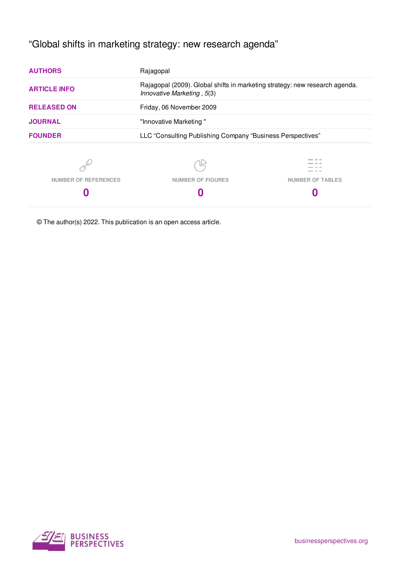## "Global shifts in marketing strategy: new research agenda"

| <b>AUTHORS</b>              | Rajagopal                                                                                                 |                         |
|-----------------------------|-----------------------------------------------------------------------------------------------------------|-------------------------|
| <b>ARTICLE INFO</b>         | Rajagopal (2009). Global shifts in marketing strategy: new research agenda.<br>Innovative Marketing, 5(3) |                         |
| <b>RELEASED ON</b>          | Friday, 06 November 2009                                                                                  |                         |
| <b>JOURNAL</b>              | "Innovative Marketing"                                                                                    |                         |
| <b>FOUNDER</b>              | LLC "Consulting Publishing Company "Business Perspectives"                                                |                         |
|                             |                                                                                                           |                         |
| <b>NUMBER OF REFERENCES</b> | <b>NUMBER OF FIGURES</b>                                                                                  | <b>NUMBER OF TABLES</b> |
| 0                           |                                                                                                           |                         |
|                             |                                                                                                           |                         |

© The author(s) 2022. This publication is an open access article.

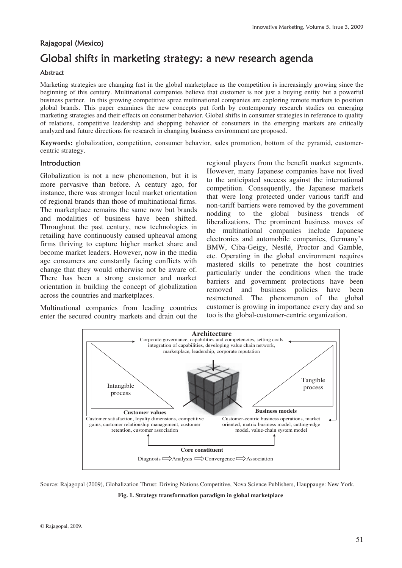# Rajagopal (Mexico) Global shifts in marketing strategy: a new research agenda

## Abstract

Marketing strategies are changing fast in the global marketplace as the competition is increasingly growing since the beginning of this century. Multinational companies believe that customer is not just a buying entity but a powerful business partner. In this growing competitive spree multinational companies are exploring remote markets to position global brands. This paper examines the new concepts put forth by contemporary research studies on emerging marketing strategies and their effects on consumer behavior. Global shifts in consumer strategies in reference to quality of relations, competitive leadership and shopping behavior of consumers in the emerging markets are critically analyzed and future directions for research in changing business environment are proposed.

**Keywords:** globalization, competition, consumer behavior, sales promotion, bottom of the pyramid, customercentric strategy.

### Introduction

Globalization is not a new phenomenon, but it is more pervasive than before. A century ago, for instance, there was stronger local market orientation of regional brands than those of multinational firms. The marketplace remains the same now but brands and modalities of business have been shifted. Throughout the past century, new technologies in retailing have continuously caused upheaval among firms thriving to capture higher market share and become market leaders. However, now in the media age consumers are constantly facing conflicts with change that they would otherwise not be aware of. There has been a strong customer and market orientation in building the concept of globalization across the countries and marketplaces.

Multinational companies from leading countries enter the secured country markets and drain out the regional players from the benefit market segments. However, many Japanese companies have not lived to the anticipated success against the international competition. Consequently, the Japanese markets that were long protected under various tariff and non-tariff barriers were removed by the government nodding to the global business trends of liberalizations. The prominent business moves of the multinational companies include Japanese electronics and automobile companies, Germany's BMW, Ciba-Geigy, Nestlé, Proctor and Gamble, etc. Operating in the global environment requires mastered skills to penetrate the host countries particularly under the conditions when the trade barriers and government protections have been removed and business policies have been restructured. The phenomenon of the global customer is growing in importance every day and so too is the global-customer-centric organization.



Source: Rajagopal (2009), Globalization Thrust: Driving Nations Competitive, Nova Science Publishers, Hauppauge: New York. Fig. 1. Strategy transformation paradigm in global marketplace

 $\overline{a}$ 

<sup>©</sup> Rajagopal, 2009.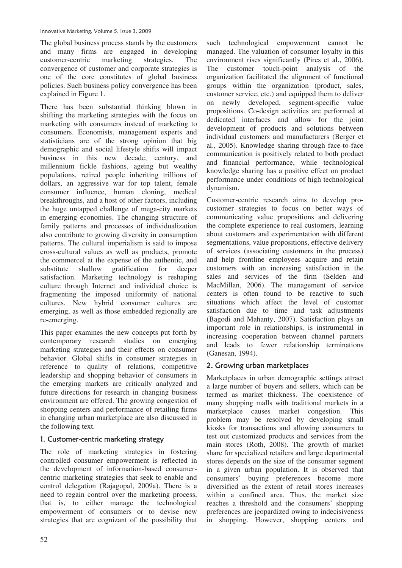The global business process stands by the customers and many firms are engaged in developing customer-centric marketing strategies. The convergence of customer and corporate strategies is one of the core constitutes of global business policies. Such business policy convergence has been explained in Figure 1.

There has been substantial thinking blown in shifting the marketing strategies with the focus on marketing with consumers instead of marketing to consumers. Economists, management experts and statisticians are of the strong opinion that big demographic and social lifestyle shifts will impact business in this new decade, century, and millennium fickle fashions, ageing but wealthy populations, retired people inheriting trillions of dollars, an aggressive war for top talent, female consumer influence, human cloning, medical breakthroughs, and a host of other factors, including the huge untapped challenge of mega-city markets in emerging economies. The changing structure of family patterns and processes of individualization also contribute to growing diversity in consumption patterns. The cultural imperialism is said to impose cross-cultural values as well as products, promote the commercel at the expense of the authentic, and substitute shallow gratification for deeper satisfaction. Marketing technology is reshaping culture through Internet and individual choice is fragmenting the imposed uniformity of national cultures. New hybrid consumer cultures are emerging, as well as those embedded regionally are re-emerging.

This paper examines the new concepts put forth by contemporary research studies on emerging marketing strategies and their effects on consumer behavior. Global shifts in consumer strategies in reference to quality of relations, competitive leadership and shopping behavior of consumers in the emerging markets are critically analyzed and future directions for research in changing business environment are offered. The growing congestion of shopping centers and performance of retailing firms in changing urban marketplace are also discussed in the following text.

## 1. Customer-centric marketing strategy

The role of marketing strategies in fostering controlled consumer empowerment is reflected in the development of information-based consumercentric marketing strategies that seek to enable and control delegation (Rajagopal, 2009a). There is a need to regain control over the marketing process, that is, to either manage the technological empowerment of consumers or to devise new strategies that are cognizant of the possibility that

such technological empowerment cannot be managed. The valuation of consumer loyalty in this environment rises significantly (Pires et al., 2006). The customer touch-point analysis of the organization facilitated the alignment of functional groups within the organization (product, sales, customer service, etc.) and equipped them to deliver on newly developed, segment-specific value propositions. Co-design activities are performed at dedicated interfaces and allow for the joint development of products and solutions between individual customers and manufacturers (Berger et al., 2005). Knowledge sharing through face-to-face communication is positively related to both product and financial performance, while technological knowledge sharing has a positive effect on product performance under conditions of high technological dynamism.

Customer-centric research aims to develop procustomer strategies to focus on better ways of communicating value propositions and delivering the complete experience to real customers, learning about customers and experimentation with different segmentations, value propositions, effective delivery of services (associating customers in the process) and help frontline employees acquire and retain customers with an increasing satisfaction in the sales and services of the firm (Selden and MacMillan, 2006). The management of service centers is often found to be reactive to such situations which affect the level of customer satisfaction due to time and task adjustments (Bagodi and Mahanty, 2007). Satisfaction plays an important role in relationships, is instrumental in increasing cooperation between channel partners and leads to fewer relationship terminations (Ganesan, 1994).

## 2. Growing urban marketplaces

Marketplaces in urban demographic settings attract a large number of buyers and sellers, which can be termed as market thickness. The coexistence of many shopping malls with traditional markets in a marketplace causes market congestion. This problem may be resolved by developing small kiosks for transactions and allowing consumers to test out customized products and services from the main stores (Roth, 2008). The growth of market share for specialized retailers and large departmental stores depends on the size of the consumer segment in a given urban population. It is observed that consumers' buying preferences become more diversified as the extent of retail stores increases within a confined area. Thus, the market size reaches a threshold and the consumers' shopping preferences are jeopardized owing to indecisiveness in shopping. However, shopping centers and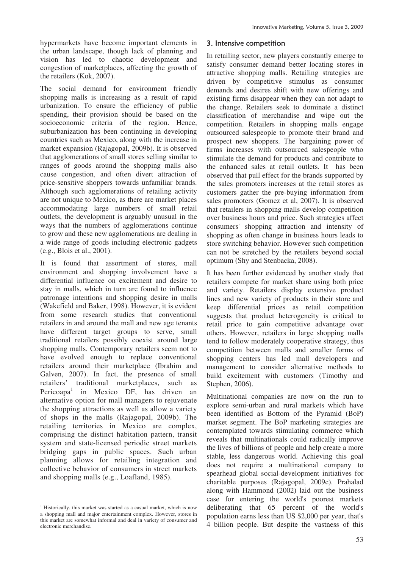hypermarkets have become important elements in the urban landscape, though lack of planning and vision has led to chaotic development and congestion of marketplaces, affecting the growth of the retailers (Kok, 2007).

The social demand for environment friendly shopping malls is increasing as a result of rapid urbanization. To ensure the efficiency of public spending, their provision should be based on the socioeconomic criteria of the region. Hence, suburbanization has been continuing in developing countries such as Mexico, along with the increase in market expansion (Rajagopal, 2009b). It is observed that agglomerations of small stores selling similar to ranges of goods around the shopping malls also cause congestion, and often divert attraction of price-sensitive shoppers towards unfamiliar brands. Although such agglomerations of retailing activity are not unique to Mexico, as there are market places accommodating large numbers of small retail outlets, the development is arguably unusual in the ways that the numbers of agglomerations continue to grow and these new agglomerations are dealing in a wide range of goods including electronic gadgets (e.g., Blois et al., 2001).

It is found that assortment of stores, mall environment and shopping involvement have a differential influence on excitement and desire to stay in malls, which in turn are found to influence patronage intentions and shopping desire in malls (Wakefield and Baker, 1998). However, it is evident from some research studies that conventional retailers in and around the mall and new age tenants have different target groups to serve, small traditional retailers possibly coexist around large shopping malls. Contemporary retailers seem not to have evolved enough to replace conventional retailers around their marketplace (Ibrahim and Galven, 2007). In fact, the presence of small retailers' traditional marketplaces, such as Pericoapa<sup>1</sup> in Mexico DF, has driven an alternative option for mall managers to rejuvenate the shopping attractions as well as allow a variety of shops in the malls (Rajagopal, 2009b). The retailing territories in Mexico are complex, comprising the distinct habitation pattern, transit system and state-licensed periodic street markets bridging gaps in public spaces. Such urban planning allows for retailing integration and collective behavior of consumers in street markets and shopping malls (e.g., Loafland, 1985).

 $\overline{a}$ 

#### 3. Intensive competition

In retailing sector, new players constantly emerge to satisfy consumer demand better locating stores in attractive shopping malls. Retailing strategies are driven by competitive stimulus as consumer demands and desires shift with new offerings and existing firms disappear when they can not adapt to the change. Retailers seek to dominate a distinct classification of merchandise and wipe out the competition. Retailers in shopping malls engage outsourced salespeople to promote their brand and prospect new shoppers. The bargaining power of firms increases with outsourced salespeople who stimulate the demand for products and contribute to the enhanced sales at retail outlets. It has been observed that pull effect for the brands supported by the sales promoters increases at the retail stores as customers gather the pre-buying information from sales promoters (Gomez et al, 2007). It is observed that retailers in shopping malls develop competition over business hours and price. Such strategies affect consumers' shopping attraction and intensity of shopping as often change in business hours leads to store switching behavior. However such competition can not be stretched by the retailers beyond social optimum (Shy and Stenbacka, 2008).

It has been further evidenced by another study that retailers compete for market share using both price and variety. Retailers display extensive product lines and new variety of products in their store and keep differential prices as retail competition suggests that product heterogeneity is critical to retail price to gain competitive advantage over others. However, retailers in large shopping malls tend to follow moderately cooperative strategy, thus competition between malls and smaller forms of shopping centers has led mall developers and management to consider alternative methods to build excitement with customers (Timothy and Stephen, 2006).

Multinational companies are now on the run to explore semi-urban and rural markets which have been identified as Bottom of the Pyramid (BoP) market segment. The BoP marketing strategies are contemplated towards stimulating commerce which reveals that multinationals could radically improve the lives of billions of people and help create a more stable, less dangerous world. Achieving this goal does not require a multinational company to spearhead global social-development initiatives for charitable purposes (Rajagopal, 2009c). Prahalad along with Hammond (2002) laid out the business case for entering the world's poorest markets deliberating that 65 percent of the world's population earns less than US \$2,000 per year, that's 4 billion people. But despite the vastness of this

 $1$  Historically, this market was started as a casual market, which is now a shopping mall and major entertainment complex. However, stores in this market are somewhat informal and deal in variety of consumer and electronic merchandise.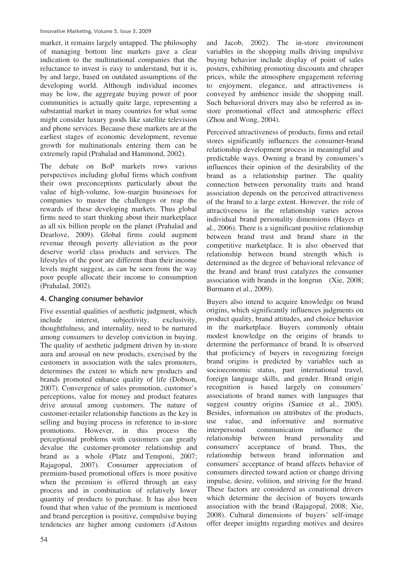market, it remains largely untapped. The philosophy of managing bottom line markets gave a clear indication to the multinational companies that the reluctance to invest is easy to understand, but it is, by and large, based on outdated assumptions of the developing world. Although individual incomes may be low, the aggregate buying power of poor communities is actually quite large, representing a substantial market in many countries for what some might consider luxury goods like satellite television and phone services. Because these markets are at the earliest stages of economic development, revenue growth for multinationals entering them can be extremely rapid (Prahalad and Hammond, 2002).

The debate on BoP markets rows various perspectives including global firms which confront their own preconceptions particularly about the value of high-volume, low-margin businesses for companies to master the challenges or reap the rewards of these developing markets. Thus global firms need to start thinking about their marketplace as all six billion people on the planet (Prahalad and Dearlove, 2009). Global firms could augment revenue through poverty alleviation as the poor deserve world class products and services. The lifestyles of the poor are different than their income levels might suggest, as can be seen from the way poor people allocate their income to consumption (Prahalad, 2002).

## 4. Changing consumer behavior

Five essential qualities of aesthetic judgment, which include interest, subjectivity, exclusivity, thoughtfulness, and internality*,* need to be nurtured among consumers to develop conviction in buying. The quality of aesthetic judgment driven by in-store aura and arousal on new products, exercised by the customers in association with the sales promoters, determines the extent to which new products and brands promoted enhance quality of life (Dobson, 2007). Convergence of sales promotion, customer's perceptions, value for money and product features drive arousal among customers. The nature of customer-retailer relationship functions as the key in selling and buying process in reference to in-store promotions. However, in this process the perceptional problems with customers can greatly devalue the customer-promoter relationship and brand as a whole (Platz and Temponi, 2007; Rajagopal, 2007). Consumer appreciation of premium-based promotional offers is more positive when the premium is offered through an easy process and in combination of relatively lower quantity of products to purchase. It has also been found that when value of the premium is mentioned and brand perception is positive, compulsive buying tendencies are higher among customers (d'Astous

and Jacob, 2002). The in-store environment variables in the shopping malls driving impulsive buying behavior include display of point of sales posters, exhibiting promoting discounts and cheaper prices, while the atmosphere engagement referring to enjoyment, elegance, and attractiveness is conveyed by ambience inside the shopping mall. Such behavioral drivers may also be referred as instore promotional effect and atmospheric effect (Zhou and Wong, 2004).

Perceived attractiveness of products, firms and retail stores significantly influences the consumer-brand relationship development process in meaningful and predictable ways. Owning a brand by consumers's influences their opinion of the desirability of the brand as a relationship partner. The quality connection between personality traits and brand association depends on the perceived attractiveness of the brand to a large extent. However, the role of attractiveness in the relationship varies across individual brand personality dimensions (Hayes et al., 2006). There is a significant positive relationship between brand trust and brand share in the competitive marketplace. It is also observed that relationship between brand strength which is determined as the degree of behavioral relevance of the brand and brand trust catalyzes the consumer association with brands in the longrun (Xie, 2008; Burmann et al., 2009).

Buyers also intend to acquire knowledge on brand origins, which significantly influences judgments on product quality, brand attitudes, and choice behavior in the marketplace. Buyers commonly obtain modest knowledge on the origins of brands to determine the performance of brand. It is observed that proficiency of buyers in recognizing foreign brand origins is predicted by variables such as socioeconomic status, past international travel, foreign language skills, and gender. Brand origin recognition is based largely on consumers' associations of brand names with languages that suggest country origins (Samiee et al., 2005). Besides, information on attributes of the products, use value, and informative and normative interpersonal communication influence the relationship between brand personality and consumers' acceptance of brand. Thus, the relationship between brand information and consumers' acceptance of brand affects behavior of consumers directed toward action or change driving impulse, desire, volition, and striving for the brand. These factors are considered as conational drivers which determine the decision of buyers towards association with the brand (Rajagopal, 2008; Xie, 2008). Cultural dimensions of buyers' self-image offer deeper insights regarding motives and desires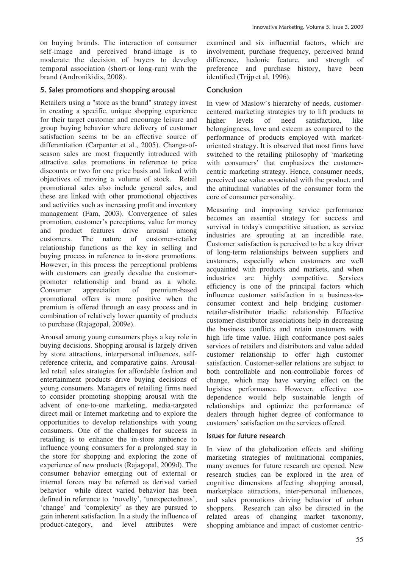on buying brands. The interaction of consumer self-image and perceived brand-image is to moderate the decision of buyers to develop temporal association (short-or long-run) with the brand (Andronikidis, 2008).

## 5. Sales promotions and shopping arousal

Retailers using a "store as the brand" strategy invest in creating a specific, unique shopping experience for their target customer and encourage leisure and group buying behavior where delivery of customer satisfaction seems to be an effective source of differentiation (Carpenter et al., 2005). Change-ofseason sales are most frequently introduced with attractive sales promotions in reference to price discounts or two for one price basis and linked with objectives of moving a volume of stock. Retail promotional sales also include general sales, and these are linked with other promotional objectives and activities such as increasing profit and inventory management (Fam, 2003). Convergence of sales promotion, customer's perceptions, value for money and product features drive arousal among customers. The nature of customer-retailer relationship functions as the key in selling and buying process in reference to in-store promotions. However, in this process the perceptional problems with customers can greatly devalue the customerpromoter relationship and brand as a whole. Consumer appreciation of premium-based promotional offers is more positive when the premium is offered through an easy process and in combination of relatively lower quantity of products to purchase (Rajagopal, 2009e).

Arousal among young consumers plays a key role in buying decisions. Shopping arousal is largely driven by store attractions, interpersonal influences, selfreference criteria, and comparative gains. Arousalled retail sales strategies for affordable fashion and entertainment products drive buying decisions of young consumers. Managers of retailing firms need to consider promoting shopping arousal with the advent of one-to-one marketing, media-targeted direct mail or Internet marketing and to explore the opportunities to develop relationships with young consumers. One of the challenges for success in retailing is to enhance the in-store ambience to influence young consumers for a prolonged stay in the store for shopping and exploring the zone of experience of new products (Rajagopal, 2009d). The consumer behavior emerging out of external or internal forces may be referred as derived varied behavior while direct varied behavior has been defined in reference to 'novelty', 'unexpectedness', 'change' and 'complexity' as they are pursued to gain inherent satisfaction. In a study the influence of product-category, and level attributes were

examined and six influential factors, which are involvement, purchase frequency, perceived brand difference, hedonic feature, and strength of preference and purchase history, have been identified (Trijp et al, 1996).

## Conclusion

In view of Maslow's hierarchy of needs, customercentered marketing strategies try to lift products to higher levels of need satisfaction, like belongingness, love and esteem as compared to the performance of products employed with marketoriented strategy. It is observed that most firms have switched to the retailing philosophy of 'marketing with consumers' that emphasizes the customercentric marketing strategy. Hence, consumer needs, perceived use value associated with the product, and the attitudinal variables of the consumer form the core of consumer personality.

Measuring and improving service performance becomes an essential strategy for success and survival in today's competitive situation, as service industries are sprouting at an incredible rate. Customer satisfaction is perceived to be a key driver of long-term relationships between suppliers and customers, especially when customers are well acquainted with products and markets, and when industries are highly competitive. Services efficiency is one of the principal factors which influence customer satisfaction in a business-toconsumer context and help bridging customerretailer-distributor triadic relationship. Effective customer-distributor associations help in decreasing the business conflicts and retain customers with high life time value. High conformance post-sales services of retailers and distributors and value added customer relationship to offer high customer satisfaction. Customer-seller relations are subject to both controllable and non-controllable forces of change, which may have varying effect on the logistics performance. However, effective codependence would help sustainable length of relationships and optimize the performance of dealers through higher degree of conformance to customers' satisfaction on the services offered.

## Issues for future research

In view of the globalization effects and shifting marketing strategies of multinational companies, many avenues for future research are opened. New research studies can be explored in the area of cognitive dimensions affecting shopping arousal, marketplace attractions, inter-personal influences, and sales promotions driving behavior of urban shoppers. Research can also be directed in the related areas of changing market taxonomy, shopping ambiance and impact of customer centric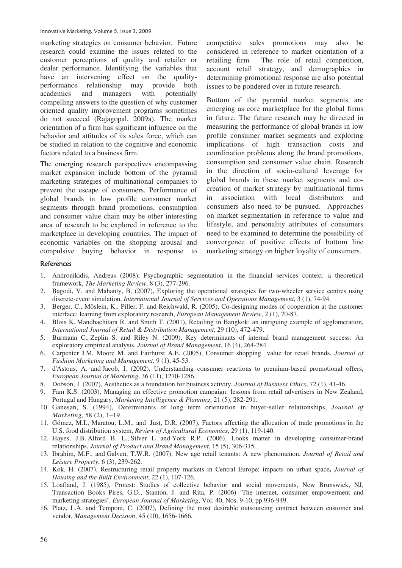marketing strategies on consumer behavior. Future research could examine the issues related to the customer perceptions of quality and retailer or dealer performance. Identifying the variables that have an intervening effect on the qualityperformance relationship may provide both academics and managers with potentially compelling answers to the question of why customer oriented quality improvement programs sometimes do not succeed (Rajagopal, 2009a). The market orientation of a firm has significant influence on the behavior and attitudes of its sales force, which can be studied in relation to the cognitive and economic factors related to a business firm.

The emerging research perspectives encompassing market expansion include bottom of the pyramid marketing strategies of multinational companies to prevent the escape of consumers. Performance of global brands in low profile consumer market segments through brand promotions, consumption and consumer value chain may be other interesting area of research to be explored in reference to the marketplace in developing countries. The impact of economic variables on the shopping arousal and compulsive buying behavior in response to

competitive sales promotions may also be considered in reference to market orientation of a retailing firm. The role of retail competition, account retail strategy, and demographics in determining promotional response are also potential issues to be pondered over in future research.

Bottom of the pyramid market segments are emerging as core marketplace for the global firms in future. The future research may be directed in measuring the performance of global brands in low profile consumer market segments and exploring implications of high transaction costs and coordination problems along the brand promotions, consumption and consumer value chain. Research in the direction of socio-cultural leverage for global brands in these market segments and cocreation of market strategy by multinational firms in association with local distributors and consumers also need to be pursued. Approaches on market segmentation in reference to value and lifestyle, and personality attributes of consumers need to be examined to determine the possibility of convergence of positive effects of bottom line marketing strategy on higher loyalty of consumers.

#### References

- 1. Andronikidis, Andreas (2008), Psychographic segmentation in the financial services context: a theoretical framework, *The Marketing Review*, 8 (3), 277-296.
- 2. Bagodi, V. and Mahanty, B. (2007), Exploring the operational strategies for two-wheeler service centres using discrete-event simulation, *International Journal of Services and Operations Management*, 3 (1), 74-94.
- 3. Berger, C., Möslein, K., Piller, F. and Reichwald, R. (2005), Co-designing modes of cooperation at the customer interface: learning from exploratory research, *European Management Review*, 2 (1), 70-87.
- 4. Blois K. Mandhachitara R. and Smith T. (2001), Retailing in Bangkok: an intriguing example of agglomeration, *International Journal of Retail & Distribution Management*, 29 (10), 472-479.
- 5. Burmann C., Zeplin S. and Riley N. (2009), Key determinants of internal brand management success: An exploratory empirical analysis, *Journal of Brand Management*, 16 (4), 264-284.
- 6. Carpenter J.M, Moore M. and Fairhurst A.E. (2005), Consumer shopping value for retail brands, *Journal of Fashion Marketing and Management*, 9 (1), 45-53.
- 7. d'Astous, A. and Jacob, I. (2002), Understanding consumer reactions to premium-based promotional offers, *European Journal of Marketing*, 36 (11), 1270-1286.
- 8. Dobson, J. (2007), Aesthetics as a foundation for business activity, *Journal of Business Ethics*, 72 (1), 41-46.
- 9. Fam K.S. (2003), Managing an effective promotion campaign: lessons from retail advertisers in New Zealand, Portugal and Hungary, *Marketing Intelligence & Planning*, 21 (5), 282-291.
- 10. Ganesan, S. (1994), Determinants of long term orientation in buyer-seller relationships, *Journal of Marketing*, 58 (2), 1–19.
- 11. Gómez, M.I., Maratou, L.M., and Just, D.R. (2007), Factors affecting the allocation of trade promotions in the U.S. food distribution system, *Review of Agricultural Economics*, 29 (1), 119-140.
- 12. Hayes, J.B. Alford B. L., Silver L and York R.P. (2006), Looks matter in developing consumer-brand relationships, *Journal of Product and Brand Management*, 15 (5), 306-315.
- 13. Ibrahim, M.F., and Galven, T.W.R. (2007), New age retail tenants: A new phenomenon, *Journal of Retail and Leisure Property*, 6 (3), 239-262.
- 14. Kok, H. (2007), Restructuring retail property markets in Central Europe: impacts on urban space**,** *Journal of Housing and the Built Environment*, 22 (1), 107-126.
- 15. Loafland, J. (1985), Protest: Studies of collective behavior and social movements, New Brunswick, NJ, Transaction Books Pires, G.D., Stanton, J. and Rita, P. (2006) 'The internet, consumer empowerment and marketing strategies', *European Journal of Marketing*, Vol. 40, Nos. 9-10, pp.936-949.
- 16. Platz, L.A. and Temponi, C. (2007), Defining the most desirable outsourcing contract between customer and vendor, *Management Decision*, 45 (10), 1656-1666.